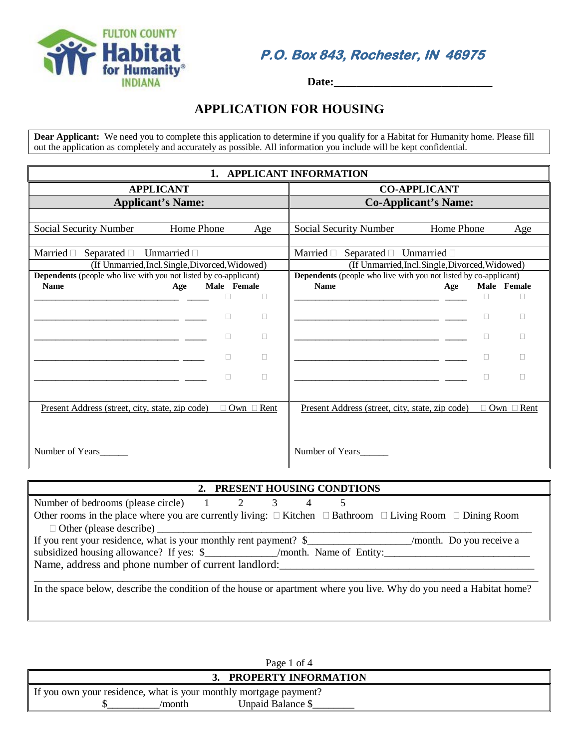

**P.O. Box 843, Rochester, IN 46975** 

 **Date:\_\_\_\_\_\_\_\_\_\_\_\_\_\_\_\_\_\_\_\_\_\_\_\_\_\_\_\_**

# **APPLICATION FOR HOUSING**

**Dear Applicant:** We need you to complete this application to determine if you qualify for a Habitat for Humanity home. Please fill out the application as completely and accurately as possible. All information you include will be kept confidential.

| 1. APPLICANT INFORMATION                                                                                                   |                                                                                                                            |  |  |  |  |  |  |
|----------------------------------------------------------------------------------------------------------------------------|----------------------------------------------------------------------------------------------------------------------------|--|--|--|--|--|--|
| <b>APPLICANT</b>                                                                                                           | <b>CO-APPLICANT</b>                                                                                                        |  |  |  |  |  |  |
| <b>Applicant's Name:</b>                                                                                                   | <b>Co-Applicant's Name:</b>                                                                                                |  |  |  |  |  |  |
|                                                                                                                            |                                                                                                                            |  |  |  |  |  |  |
| Home Phone<br>Social Security Number<br>Age                                                                                | Home Phone<br>Social Security Number<br>Age                                                                                |  |  |  |  |  |  |
|                                                                                                                            |                                                                                                                            |  |  |  |  |  |  |
| Married $\Box$<br>Separated $\Box$<br>Unmarried $\Box$                                                                     | Married $\Box$<br>Separated $\Box$ Unmarried $\Box$                                                                        |  |  |  |  |  |  |
| (If Unmarried, Incl. Single, Divorced, Widowed)<br><b>Dependents</b> (people who live with you not listed by co-applicant) | (If Unmarried, Incl. Single, Divorced, Widowed)<br><b>Dependents</b> (people who live with you not listed by co-applicant) |  |  |  |  |  |  |
| <b>Name</b><br>Male Female<br>Age                                                                                          | <b>Name</b><br>Male Female<br>Age                                                                                          |  |  |  |  |  |  |
| $\Box$                                                                                                                     | П                                                                                                                          |  |  |  |  |  |  |
|                                                                                                                            |                                                                                                                            |  |  |  |  |  |  |
| П                                                                                                                          | П                                                                                                                          |  |  |  |  |  |  |
| П                                                                                                                          |                                                                                                                            |  |  |  |  |  |  |
|                                                                                                                            |                                                                                                                            |  |  |  |  |  |  |
|                                                                                                                            |                                                                                                                            |  |  |  |  |  |  |
| П<br>П                                                                                                                     | П                                                                                                                          |  |  |  |  |  |  |
|                                                                                                                            |                                                                                                                            |  |  |  |  |  |  |
| Present Address (street, city, state, zip code)<br>Own $\Box$<br>Rent                                                      | <u>Present Address (street, city, state, zip code)</u><br>Own $\Box$ Rent                                                  |  |  |  |  |  |  |
|                                                                                                                            |                                                                                                                            |  |  |  |  |  |  |
|                                                                                                                            |                                                                                                                            |  |  |  |  |  |  |
| Number of Years                                                                                                            | Number of Years                                                                                                            |  |  |  |  |  |  |

### **2. PRESENT HOUSING CONDTIONS**

| Number of bedrooms (please circle) $1 \t 2 \t 3$                                                                              |  | 4 |  |                          |
|-------------------------------------------------------------------------------------------------------------------------------|--|---|--|--------------------------|
| Other rooms in the place where you are currently living: $\Box$ Kitchen $\Box$ Bathroom $\Box$ Living Room $\Box$ Dining Room |  |   |  |                          |
|                                                                                                                               |  |   |  |                          |
| If you rent your residence, what is your monthly rent payment? \$                                                             |  |   |  | /month. Do you receive a |
| subsidized housing allowance? If yes: \$_____________/month. Name of Entity:_________________________                         |  |   |  |                          |
| Name, address and phone number of current landlord:                                                                           |  |   |  |                          |
|                                                                                                                               |  |   |  |                          |
| In the space below, describe the condition of the house or apartment where you live. Why do you need a Habitat home?          |  |   |  |                          |
|                                                                                                                               |  |   |  |                          |

| Page 1 of 4                                                       |                      |  |  |  |  |
|-------------------------------------------------------------------|----------------------|--|--|--|--|
|                                                                   | PROPERTY INFORMATION |  |  |  |  |
| If you own your residence, what is your monthly mortgage payment? |                      |  |  |  |  |
| /month-                                                           | Unpaid Balance \$    |  |  |  |  |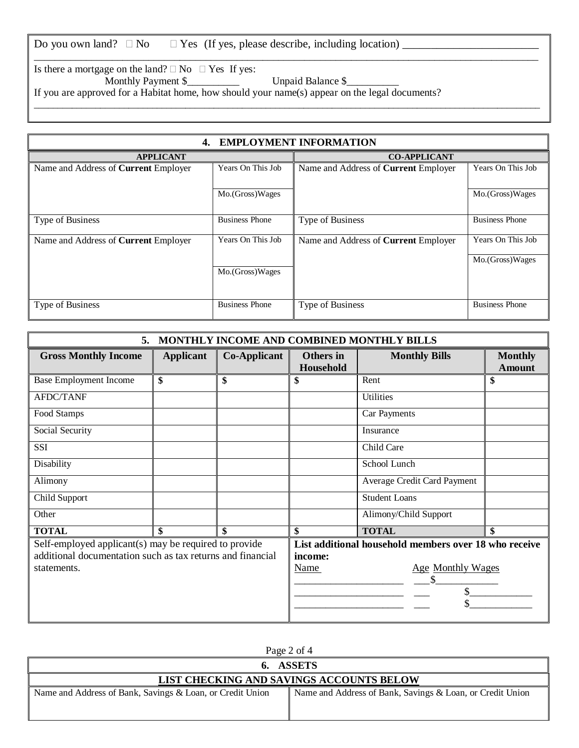| Do you own land? $\square$ No $\square$ Yes (If yes, please describe, including location) |  |  |  |  |
|-------------------------------------------------------------------------------------------|--|--|--|--|
|                                                                                           |  |  |  |  |

Is there a mortgage on the land?  $\Box$  No  $\Box$  Yes If yes:

Monthly Payment \$\_\_\_\_\_\_\_\_\_\_ Unpaid Balance \$\_\_\_\_\_\_\_\_\_\_

\_\_\_\_\_\_\_\_\_\_\_\_\_\_\_\_\_\_\_\_\_\_\_\_\_\_\_\_\_\_\_\_\_\_\_\_\_\_\_\_\_\_\_\_\_\_\_\_\_\_\_\_\_\_\_\_\_\_\_\_\_\_\_\_\_\_\_\_\_\_\_\_\_\_\_\_\_\_\_\_\_\_\_\_\_\_\_\_\_\_\_\_\_\_\_\_\_

\_\_\_\_\_\_\_\_\_\_\_\_\_\_\_\_\_\_\_\_\_\_\_\_\_\_\_\_\_\_\_\_\_\_\_\_\_\_\_\_\_\_\_\_\_\_\_\_\_\_\_\_\_\_\_\_\_\_\_\_\_\_\_\_\_\_\_\_\_\_\_\_\_\_\_\_\_\_\_\_\_\_\_\_\_\_\_\_\_\_\_\_\_\_\_\_\_\_\_\_\_\_\_\_\_\_\_

If you are approved for a Habitat home, how should your name(s) appear on the legal documents?

| <b>EMPLOYMENT INFORMATION</b><br>4.         |                       |                                             |                       |  |  |
|---------------------------------------------|-----------------------|---------------------------------------------|-----------------------|--|--|
| <b>APPLICANT</b>                            |                       | <b>CO-APPLICANT</b>                         |                       |  |  |
| Name and Address of Current Employer        | Years On This Job     | Name and Address of Current Employer        | Years On This Job     |  |  |
|                                             | Mo.(Gross)Wages       |                                             | Mo.(Gross)Wages       |  |  |
| Type of Business                            | <b>Business Phone</b> | Type of Business                            | <b>Business Phone</b> |  |  |
| Name and Address of <b>Current</b> Employer | Years On This Job     | Name and Address of <b>Current</b> Employer | Years On This Job     |  |  |
|                                             |                       |                                             | Mo.(Gross)Wages       |  |  |
|                                             | Mo.(Gross)Wages       |                                             |                       |  |  |
| Type of Business                            | <b>Business Phone</b> | Type of Business                            | <b>Business Phone</b> |  |  |
|                                             |                       |                                             |                       |  |  |

| MONTHLY INCOME AND COMBINED MONTHLY BILLS<br>5.            |                  |                                         |                                                       |                             |                                 |  |
|------------------------------------------------------------|------------------|-----------------------------------------|-------------------------------------------------------|-----------------------------|---------------------------------|--|
| <b>Gross Monthly Income</b>                                | <b>Applicant</b> | <b>Co-Applicant</b>                     | <b>Others</b> in<br>Household                         | <b>Monthly Bills</b>        | <b>Monthly</b><br><b>Amount</b> |  |
| <b>Base Employment Income</b>                              | \$               | \$                                      | \$                                                    | Rent                        | \$                              |  |
| <b>AFDC/TANF</b>                                           |                  |                                         |                                                       | <b>Utilities</b>            |                                 |  |
| Food Stamps                                                |                  |                                         |                                                       | Car Payments                |                                 |  |
| Social Security                                            |                  |                                         |                                                       | Insurance                   |                                 |  |
| SSI                                                        |                  |                                         |                                                       | Child Care                  |                                 |  |
| Disability                                                 |                  |                                         |                                                       | School Lunch                |                                 |  |
| Alimony                                                    |                  |                                         |                                                       | Average Credit Card Payment |                                 |  |
| Child Support                                              |                  |                                         |                                                       | <b>Student Loans</b>        |                                 |  |
| Other                                                      |                  |                                         |                                                       | Alimony/Child Support       |                                 |  |
| <b>TOTAL</b>                                               | \$               | \$                                      | \$                                                    | <b>TOTAL</b>                | \$                              |  |
| Self-employed applicant(s) may be required to provide      |                  |                                         | List additional household members over 18 who receive |                             |                                 |  |
| additional documentation such as tax returns and financial |                  |                                         | income:                                               |                             |                                 |  |
| statements.                                                |                  | <b>Name</b><br><b>Age Monthly Wages</b> |                                                       |                             |                                 |  |
|                                                            |                  | S                                       |                                                       |                             |                                 |  |
|                                                            |                  | \$                                      |                                                       |                             |                                 |  |
|                                                            |                  |                                         |                                                       |                             |                                 |  |
|                                                            |                  |                                         |                                                       |                             |                                 |  |

| Page 2 of 4                                               |                                                           |  |  |  |  |
|-----------------------------------------------------------|-----------------------------------------------------------|--|--|--|--|
|                                                           | 6. ASSETS                                                 |  |  |  |  |
| LIST CHECKING AND SAVINGS ACCOUNTS BELOW                  |                                                           |  |  |  |  |
| Name and Address of Bank, Savings & Loan, or Credit Union | Name and Address of Bank, Savings & Loan, or Credit Union |  |  |  |  |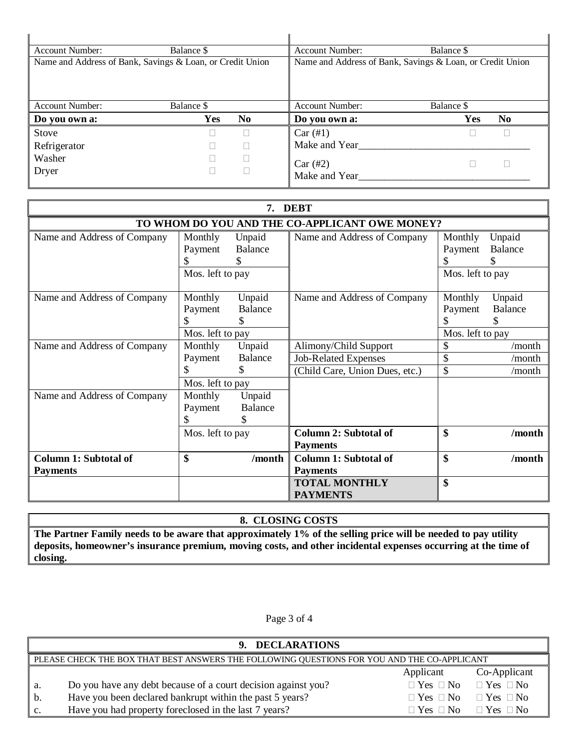| <b>Account Number:</b>                                    | Balance \$ |     | <b>Account Number:</b>                                    | Balance \$            |  |
|-----------------------------------------------------------|------------|-----|-----------------------------------------------------------|-----------------------|--|
| Name and Address of Bank, Savings & Loan, or Credit Union |            |     | Name and Address of Bank, Savings & Loan, or Credit Union |                       |  |
| <b>Account Number:</b>                                    | Balance \$ |     | <b>Account Number:</b>                                    | Balance \$            |  |
| Do you own a:                                             | Yes        | No. | Do you own a:                                             | Yes<br>N <sub>0</sub> |  |
| Stove                                                     |            |     | Car (#1)                                                  |                       |  |
| Refrigerator                                              |            |     | Make and Year                                             |                       |  |
| Washer                                                    |            |     | Car(#2)                                                   |                       |  |
| Dryer                                                     |            |     | Make and Year                                             |                       |  |

| <b>DEBT</b><br>7.                               |                                        |                                |                                                                                        |                                             |                            |
|-------------------------------------------------|----------------------------------------|--------------------------------|----------------------------------------------------------------------------------------|---------------------------------------------|----------------------------|
|                                                 |                                        |                                | TO WHOM DO YOU AND THE CO-APPLICANT OWE MONEY?                                         |                                             |                            |
| Name and Address of Company                     | Monthly<br>Payment<br>Mos. left to pay | Unpaid<br>Balance<br>\$.       | Name and Address of Company                                                            | Monthly<br>Payment<br>Mos. left to pay      | Unpaid<br><b>Balance</b>   |
| Name and Address of Company                     | Monthly<br>Payment<br>Mos. left to pay | Unpaid<br><b>Balance</b>       | Name and Address of Company                                                            | Monthly<br>Payment<br>S<br>Mos. left to pay | Unpaid<br>Balance<br>S     |
| Name and Address of Company                     | Monthly<br>Payment<br>Mos. left to pay | Unpaid<br><b>Balance</b><br>S. | Alimony/Child Support<br><b>Job-Related Expenses</b><br>(Child Care, Union Dues, etc.) | \$<br>\$<br>\$                              | /month<br>/month<br>/month |
| Name and Address of Company                     | Monthly<br>Payment<br>Mos. left to pay | Unpaid<br><b>Balance</b>       | <b>Column 2: Subtotal of</b><br><b>Payments</b>                                        | \$                                          | /month                     |
| <b>Column 1: Subtotal of</b><br><b>Payments</b> | \$                                     | /month                         | Column 1: Subtotal of<br><b>Payments</b><br><b>TOTAL MONTHLY</b><br><b>PAYMENTS</b>    | \$<br>\$                                    | /month                     |

## **8. CLOSING COSTS**

**The Partner Family needs to be aware that approximately 1% of the selling price will be needed to pay utility deposits, homeowner's insurance premium, moving costs, and other incidental expenses occurring at the time of closing.**

Page 3 of 4

|    | 9. DECLARATIONS                                                                             |                      |                                           |  |  |  |
|----|---------------------------------------------------------------------------------------------|----------------------|-------------------------------------------|--|--|--|
|    | PLEASE CHECK THE BOX THAT BEST ANSWERS THE FOLLOWING QUESTIONS FOR YOU AND THE CO-APPLICANT |                      |                                           |  |  |  |
|    |                                                                                             | Applicant            | Co-Applicant                              |  |  |  |
| a. | Do you have any debt because of a court decision against you?                               |                      | $\Box$ Yes $\Box$ No $\Box$ Yes $\Box$ No |  |  |  |
| b. | Have you been declared bankrupt within the past 5 years?                                    |                      | $\Box$ Yes $\Box$ No $\Box$ Yes $\Box$ No |  |  |  |
| c. | Have you had property foreclosed in the last 7 years?                                       | $\Box$ Yes $\Box$ No | $\Box$ Yes $\Box$ No                      |  |  |  |